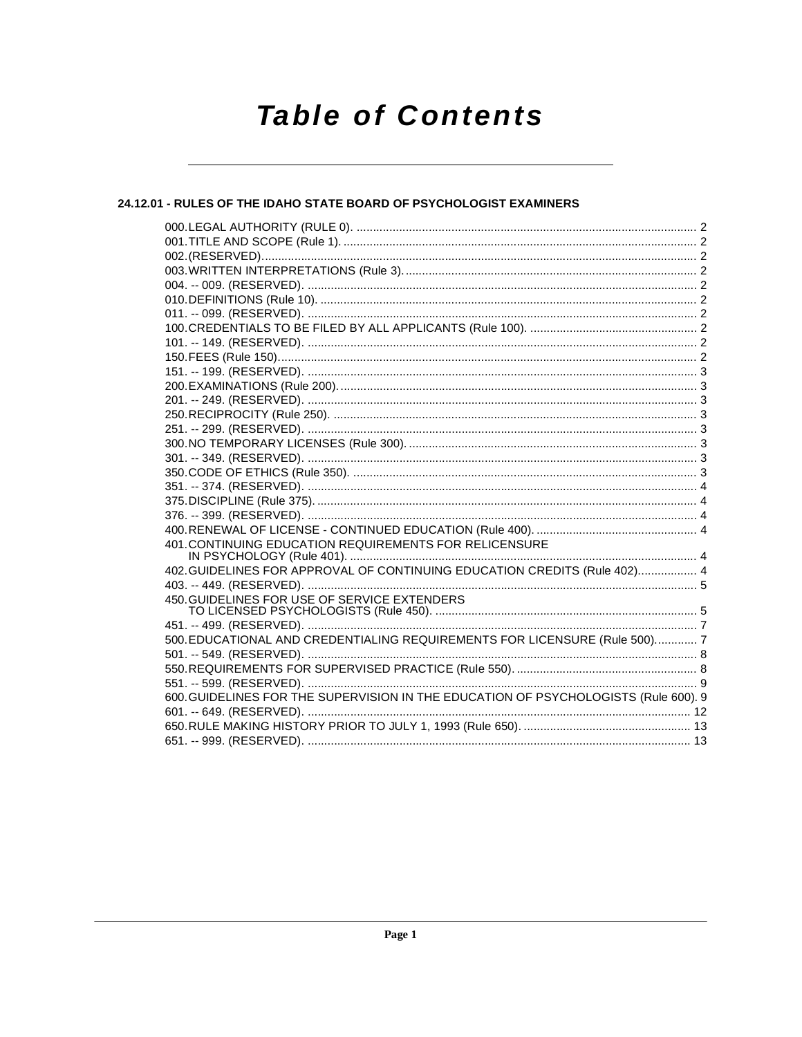# **Table of Contents**

# 24.12.01 - RULES OF THE IDAHO STATE BOARD OF PSYCHOLOGIST EXAMINERS

| 401. CONTINUING EDUCATION REQUIREMENTS FOR RELICENSURE                              |  |
|-------------------------------------------------------------------------------------|--|
|                                                                                     |  |
| 402. GUIDELINES FOR APPROVAL OF CONTINUING EDUCATION CREDITS (Rule 402) 4           |  |
|                                                                                     |  |
| 450. GUIDELINES FOR USE OF SERVICE EXTENDERS                                        |  |
|                                                                                     |  |
| 500. EDUCATIONAL AND CREDENTIALING REQUIREMENTS FOR LICENSURE (Rule 500) 7          |  |
|                                                                                     |  |
|                                                                                     |  |
|                                                                                     |  |
| 600. GUIDELINES FOR THE SUPERVISION IN THE EDUCATION OF PSYCHOLOGISTS (Rule 600). 9 |  |
|                                                                                     |  |
|                                                                                     |  |
|                                                                                     |  |
|                                                                                     |  |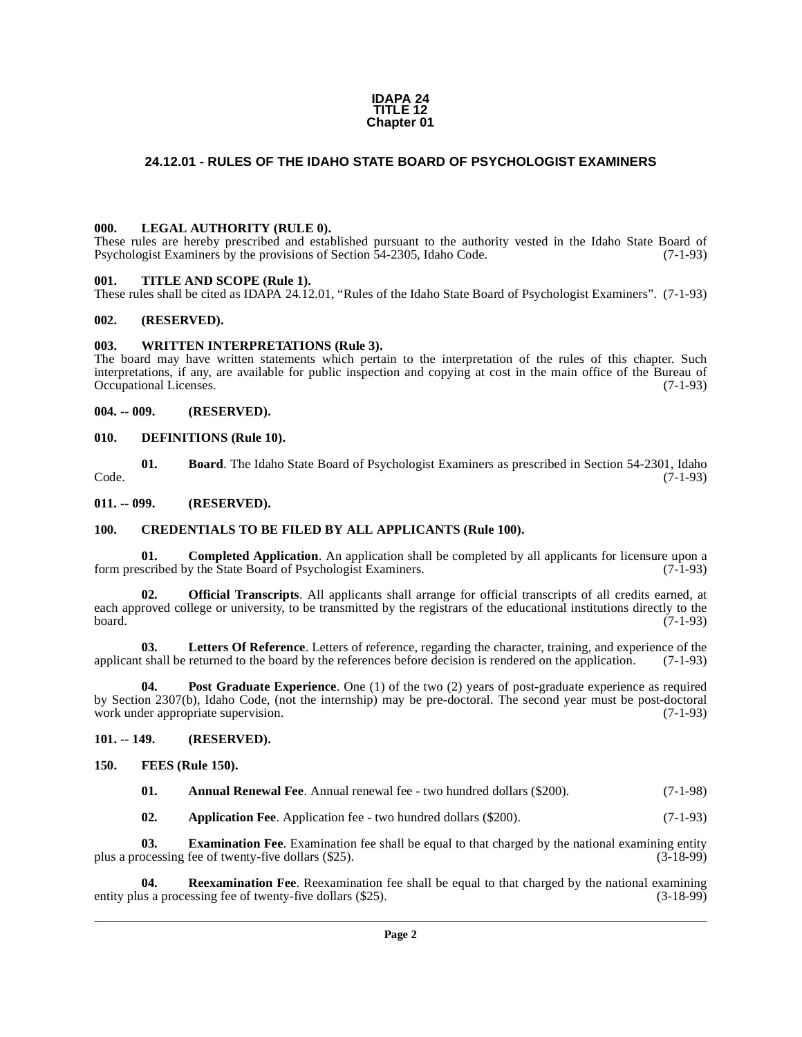### **IDAPA 24 TITLE 12 Chapter 01**

# <span id="page-1-0"></span>**24.12.01 - RULES OF THE IDAHO STATE BOARD OF PSYCHOLOGIST EXAMINERS**

### <span id="page-1-1"></span>**000. LEGAL AUTHORITY (RULE 0).**

These rules are hereby prescribed and established pursuant to the authority vested in the Idaho State Board of Psychologist Examiners by the provisions of Section 54-2305, Idaho Code. (7-1-93)

### <span id="page-1-2"></span>**001. TITLE AND SCOPE (Rule 1).**

These rules shall be cited as IDAPA 24.12.01, "Rules of the Idaho State Board of Psychologist Examiners". (7-1-93)

### <span id="page-1-3"></span>**002. (RESERVED).**

### <span id="page-1-4"></span>**003. WRITTEN INTERPRETATIONS (Rule 3).**

The board may have written statements which pertain to the interpretation of the rules of this chapter. Such interpretations, if any, are available for public inspection and copying at cost in the main office of the Bureau of Occupational Licenses. (7-1-93) Occupational Licenses.

<span id="page-1-5"></span>**004. -- 009. (RESERVED).**

### <span id="page-1-16"></span><span id="page-1-6"></span>**010. DEFINITIONS (Rule 10).**

<span id="page-1-13"></span>**01. Board**. The Idaho State Board of Psychologist Examiners as prescribed in Section 54-2301, Idaho  $\text{Code.}$  (7-1-93)

<span id="page-1-7"></span>**011. -- 099. (RESERVED).**

### <span id="page-1-15"></span><span id="page-1-8"></span>**100. CREDENTIALS TO BE FILED BY ALL APPLICANTS (Rule 100).**

<span id="page-1-14"></span>**01. Completed Application**. An application shall be completed by all applicants for licensure upon a form prescribed by the State Board of Psychologist Examiners. (7-1-93)

<span id="page-1-20"></span>**Official Transcripts**. All applicants shall arrange for official transcripts of all credits earned, at each approved college or university, to be transmitted by the registrars of the educational institutions directly to the board. (7-1-93)

<span id="page-1-19"></span>**03.** Letters Of Reference. Letters of reference, regarding the character, training, and experience of the shall be returned to the board by the references before decision is rendered on the application. (7-1-93) applicant shall be returned to the board by the references before decision is rendered on the application.

<span id="page-1-21"></span>**Post Graduate Experience**. One (1) of the two (2) years of post-graduate experience as required by Section 2307(b), Idaho Code, (not the internship) may be pre-doctoral. The second year must be post-doctoral work under appropriate supervision.

### <span id="page-1-9"></span>**101. -- 149. (RESERVED).**

<span id="page-1-10"></span>**150. FEES (Rule 150).**

<span id="page-1-18"></span><span id="page-1-11"></span>

| 01. | <b>Annual Renewal Fee.</b> Annual renewal fee - two hundred dollars (\$200). | $(7-1-98)$ |
|-----|------------------------------------------------------------------------------|------------|
|-----|------------------------------------------------------------------------------|------------|

<span id="page-1-22"></span><span id="page-1-17"></span><span id="page-1-12"></span>**02. Application Fee**. Application fee - two hundred dollars (\$200). (7-1-93)

**03. Examination Fee**. Examination fee shall be equal to that charged by the national examining entity ocessing fee of twenty-five dollars (\$25). (3-18-99) plus a processing fee of twenty-five dollars (\$25).

**04. Reexamination Fee**. Reexamination fee shall be equal to that charged by the national examining entity plus a processing fee of twenty-five dollars (\$25). (3-18-99)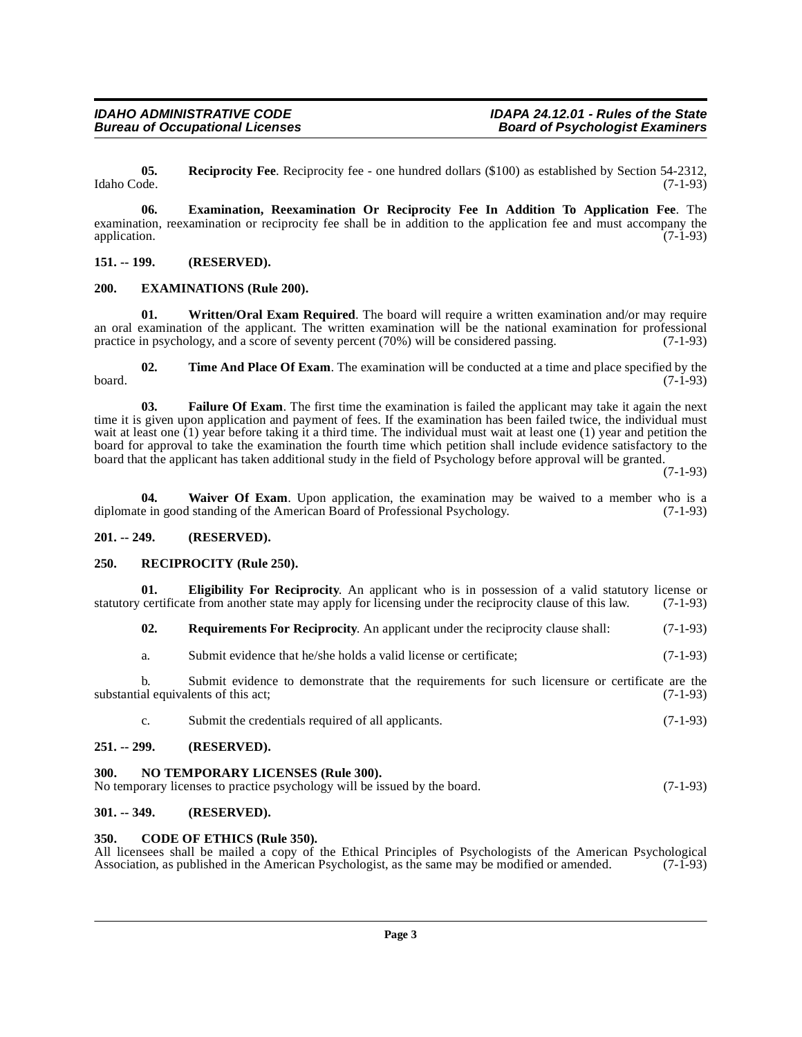<span id="page-2-15"></span>**05. Reciprocity Fee**. Reciprocity fee - one hundred dollars (\$100) as established by Section 54-2312, Idaho Code. (7-1-93)

<span id="page-2-10"></span>**06. Examination, Reexamination Or Reciprocity Fee In Addition To Application Fee**. The examination, reexamination or reciprocity fee shall be in addition to the application fee and must accompany the application. (7-1-93) application. (7-1-93)

## <span id="page-2-0"></span>**151. -- 199. (RESERVED).**

## <span id="page-2-11"></span><span id="page-2-1"></span>**200. EXAMINATIONS (Rule 200).**

<span id="page-2-19"></span>**01. Written/Oral Exam Required**. The board will require a written examination and/or may require an oral examination of the applicant. The written examination will be the national examination for professional practice in psychology, and a score of seventy percent (70%) will be considered passing. (7-1-93)

<span id="page-2-17"></span>**02.** Time And Place Of Exam. The examination will be conducted at a time and place specified by the (7-1-93)  $\beta$  board. (7-1-93)

<span id="page-2-12"></span>**03. Failure Of Exam**. The first time the examination is failed the applicant may take it again the next time it is given upon application and payment of fees. If the examination has been failed twice, the individual must wait at least one (1) year before taking it a third time. The individual must wait at least one (1) year and petition the board for approval to take the examination the fourth time which petition shall include evidence satisfactory to the board that the applicant has taken additional study in the field of Psychology before approval will be granted.

(7-1-93)

<span id="page-2-18"></span>**04. Waiver Of Exam**. Upon application, the examination may be waived to a member who is a e in good standing of the American Board of Professional Psychology. (7-1-93) diplomate in good standing of the American Board of Professional Psychology.

### <span id="page-2-2"></span>**201. -- 249. (RESERVED).**

### <span id="page-2-14"></span><span id="page-2-3"></span>**250. RECIPROCITY (Rule 250).**

**01. Eligibility For Reciprocity**. An applicant who is in possession of a valid statutory license or certificate from another state may apply for licensing under the reciprocity clause of this law. (7-1-93) statutory certificate from another state may apply for licensing under the reciprocity clause of this law.

<span id="page-2-16"></span><span id="page-2-9"></span>**02. Requirements For Reciprocity**. An applicant under the reciprocity clause shall: (7-1-93)

a. Submit evidence that he/she holds a valid license or certificate; (7-1-93)

b. Submit evidence to demonstrate that the requirements for such licensure or certificate are the substantial equivalents of this act; (7-1-93)

<span id="page-2-13"></span>c. Submit the credentials required of all applicants. (7-1-93)

# <span id="page-2-4"></span>**251. -- 299. (RESERVED).**

### <span id="page-2-5"></span>**300. NO TEMPORARY LICENSES (Rule 300).**

| No temporary licenses to practice psychology will be issued by the board. |  | $(7-1-93)$ |
|---------------------------------------------------------------------------|--|------------|

# <span id="page-2-6"></span>**301. -- 349. (RESERVED).**

### <span id="page-2-8"></span><span id="page-2-7"></span>**350. CODE OF ETHICS (Rule 350).**

All licensees shall be mailed a copy of the Ethical Principles of Psychologists of the American Psychological Association, as published in the American Psychologist, as the same may be modified or amended. (7-1-93) Association, as published in the American Psychologist, as the same may be modified or amended.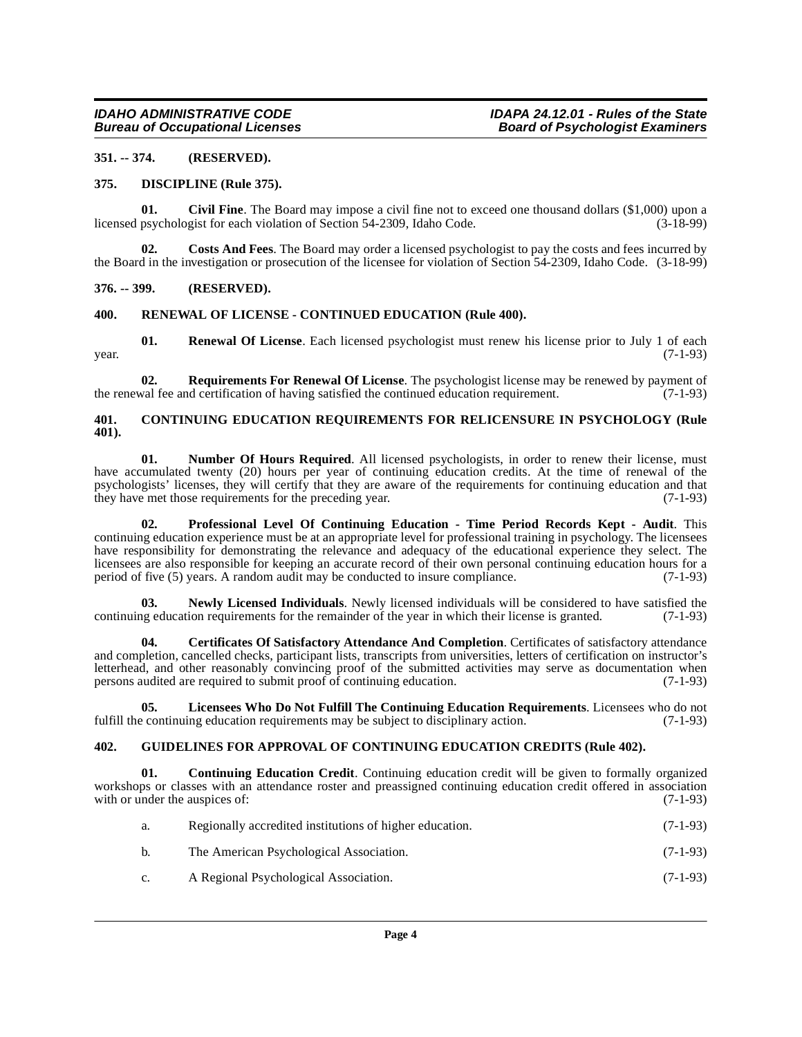## <span id="page-3-0"></span>**351. -- 374. (RESERVED).**

### <span id="page-3-11"></span><span id="page-3-1"></span>**375. DISCIPLINE (Rule 375).**

<span id="page-3-7"></span>**01.** Civil Fine. The Board may impose a civil fine not to exceed one thousand dollars (\$1,000) upon a psychologist for each violation of Section 54-2309, Idaho Code. (3-18-99) licensed psychologist for each violation of Section 54-2309, Idaho Code.

<span id="page-3-10"></span>**Costs And Fees**. The Board may order a licensed psychologist to pay the costs and fees incurred by the Board in the investigation or prosecution of the licensee for violation of Section 54-2309, Idaho Code. (3-18-99)

## <span id="page-3-2"></span>**376. -- 399. (RESERVED).**

### <span id="page-3-17"></span><span id="page-3-3"></span>**400. RENEWAL OF LICENSE - CONTINUED EDUCATION (Rule 400).**

**01. Renewal Of License**. Each licensed psychologist must renew his license prior to July 1 of each (7-1-93)  $year.$  (7-1-93)

<span id="page-3-18"></span>**02. Requirements For Renewal Of License**. The psychologist license may be renewed by payment of the renewal fee and certification of having satisfied the continued education requirement. (7-1-93)

## <span id="page-3-9"></span><span id="page-3-4"></span>**401. CONTINUING EDUCATION REQUIREMENTS FOR RELICENSURE IN PSYCHOLOGY (Rule 401).**

<span id="page-3-15"></span>**01.** Number Of Hours Required. All licensed psychologists, in order to renew their license, must have accumulated twenty (20) hours per year of continuing education credits. At the time of renewal of the psychologists' licenses, they will certify that they are aware of the requirements for continuing education and that they have met those requirements for the preceding year. (7-1-93) they have met those requirements for the preceding year.

<span id="page-3-16"></span>**02. Professional Level Of Continuing Education - Time Period Records Kept - Audit**. This continuing education experience must be at an appropriate level for professional training in psychology. The licensees have responsibility for demonstrating the relevance and adequacy of the educational experience they select. The licensees are also responsible for keeping an accurate record of their own personal continuing education hours for a period of five (5) years. A random audit may be conducted to insure compliance. (7-1-93) period of five (5) years. A random audit may be conducted to insure compliance.

<span id="page-3-14"></span>**03.** Newly Licensed Individuals. Newly licensed individuals will be considered to have satisfied the regularized to have satisfied the regularized of the vear in which their license is granted. (7-1-93) continuing education requirements for the remainder of the year in which their license is granted.

<span id="page-3-6"></span>**04. Certificates Of Satisfactory Attendance And Completion**. Certificates of satisfactory attendance and completion, cancelled checks, participant lists, transcripts from universities, letters of certification on instructor's letterhead, and other reasonably convincing proof of the submitted activities may serve as documentation when persons audited are required to submit proof of continuing education. (7-1-93)

<span id="page-3-13"></span>**05. Licensees Who Do Not Fulfill The Continuing Education Requirements**. Licensees who do not e continuing education requirements may be subject to disciplinary action. (7-1-93) fulfill the continuing education requirements may be subject to disciplinary action.

### <span id="page-3-12"></span><span id="page-3-5"></span>**402. GUIDELINES FOR APPROVAL OF CONTINUING EDUCATION CREDITS (Rule 402).**

**01. Continuing Education Credit**. Continuing education credit will be given to formally organized workshops or classes with an attendance roster and preassigned continuing education credit offered in association with or under the auspices of: (7-1-93) with or under the auspices of:

<span id="page-3-8"></span>

| а.             | Regionally accredited institutions of higher education. | $(7-1-93)$ |
|----------------|---------------------------------------------------------|------------|
| b.             | The American Psychological Association.                 | $(7-1-93)$ |
| $\mathbf{c}$ . | A Regional Psychological Association.                   | $(7-1-93)$ |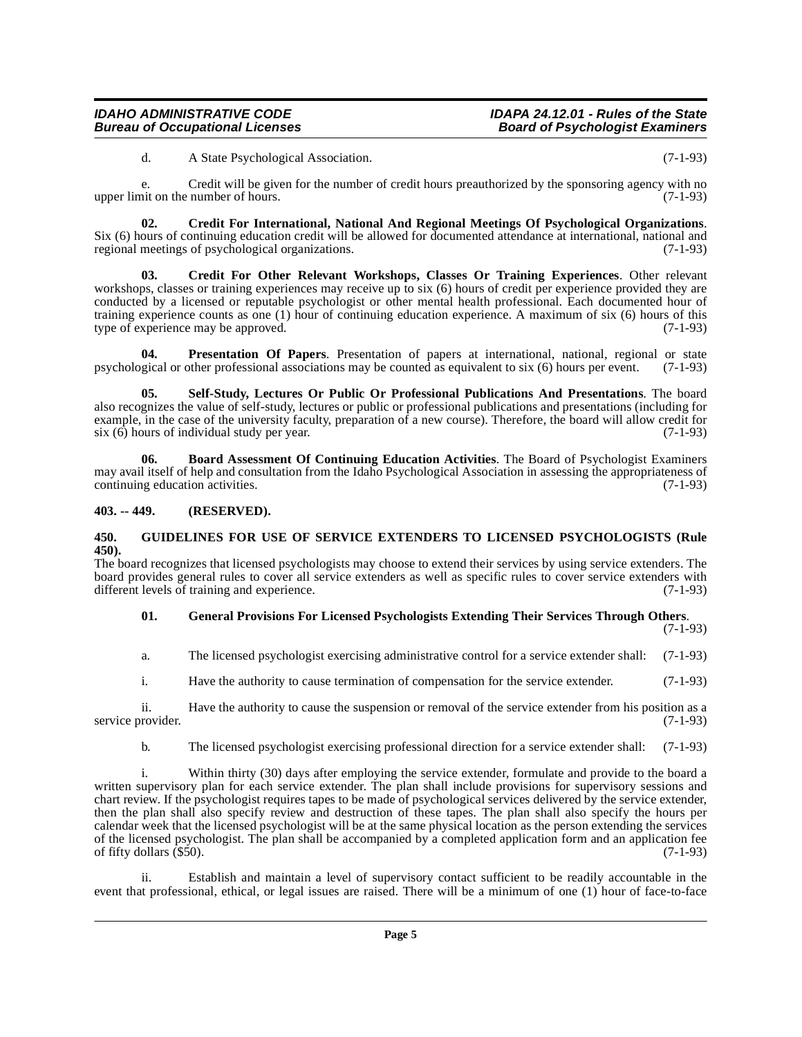<span id="page-4-3"></span>d. A State Psychological Association. (7-1-93)

e. Credit will be given for the number of credit hours preauthorized by the sponsoring agency with no upper limit on the number of hours. (7-1-93)

**02. Credit For International, National And Regional Meetings Of Psychological Organizations**. Six (6) hours of continuing education credit will be allowed for documented attendance at international, national and regional meetings of psychological organizations. (7-1-93)

<span id="page-4-4"></span>**03. Credit For Other Relevant Workshops, Classes Or Training Experiences**. Other relevant workshops, classes or training experiences may receive up to six (6) hours of credit per experience provided they are conducted by a licensed or reputable psychologist or other mental health professional. Each documented hour of training experience counts as one (1) hour of continuing education experience. A maximum of six (6) hours of this type of experience may be approved. (7-1-93)

<span id="page-4-7"></span>**04. Presentation Of Papers**. Presentation of papers at international, national, regional or state gical or other professional associations may be counted as equivalent to six (6) hours per event. (7-1-93) psychological or other professional associations may be counted as equivalent to six  $(6)$  hours per event.

<span id="page-4-8"></span>**05. Self-Study, Lectures Or Public Or Professional Publications And Presentations**. The board also recognizes the value of self-study, lectures or public or professional publications and presentations (including for example, in the case of the university faculty, preparation of a new course). Therefore, the board will allow credit for six (6) hours of individual study per year. (7-1-93) six  $(6)$  hours of individual study per year.

<span id="page-4-2"></span>**06. Board Assessment Of Continuing Education Activities**. The Board of Psychologist Examiners may avail itself of help and consultation from the Idaho Psychological Association in assessing the appropriateness of continuing education activities. (7-1-93) continuing education activities.

# <span id="page-4-0"></span>**403. -- 449. (RESERVED).**

### <span id="page-4-6"></span><span id="page-4-1"></span>**450. GUIDELINES FOR USE OF SERVICE EXTENDERS TO LICENSED PSYCHOLOGISTS (Rule 450).**

The board recognizes that licensed psychologists may choose to extend their services by using service extenders. The board provides general rules to cover all service extenders as well as specific rules to cover service extenders with different levels of training and experience. (7-1-93)

# <span id="page-4-5"></span>**01. General Provisions For Licensed Psychologists Extending Their Services Through Others**.

(7-1-93)

a. The licensed psychologist exercising administrative control for a service extender shall: (7-1-93)

i. Have the authority to cause termination of compensation for the service extender. (7-1-93)

ii. Have the authority to cause the suspension or removal of the service extender from his position as a service provider. (7-1-93)

b. The licensed psychologist exercising professional direction for a service extender shall: (7-1-93)

Within thirty (30) days after employing the service extender, formulate and provide to the board a written supervisory plan for each service extender. The plan shall include provisions for supervisory sessions and chart review. If the psychologist requires tapes to be made of psychological services delivered by the service extender, then the plan shall also specify review and destruction of these tapes. The plan shall also specify the hours per calendar week that the licensed psychologist will be at the same physical location as the person extending the services of the licensed psychologist. The plan shall be accompanied by a completed application form and an application fee of fifty dollars  $(\$50)$ .  $(7-1-93)$ 

ii. Establish and maintain a level of supervisory contact sufficient to be readily accountable in the event that professional, ethical, or legal issues are raised. There will be a minimum of one (1) hour of face-to-face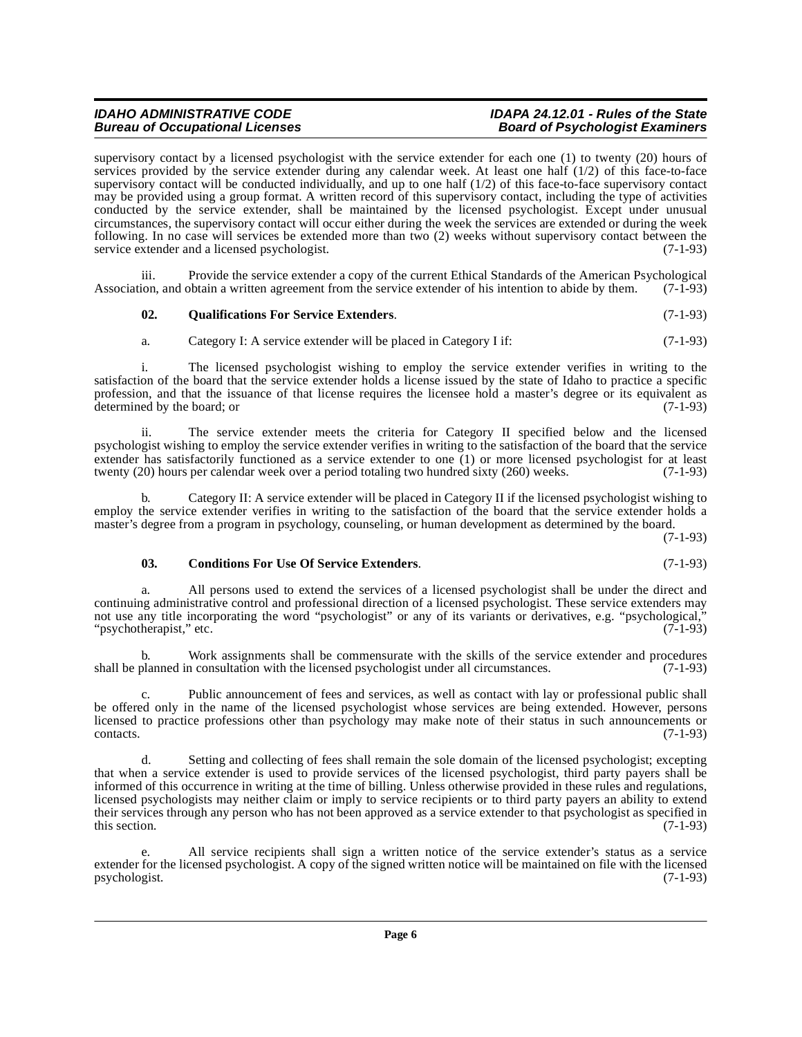# **IDAHO ADMINISTRATIVE CODE 1999 CONDUCT:**<br>Bureau of Occupational Licenses 1999 Connect 1999 Board of Psychologist Examiners

supervisory contact by a licensed psychologist with the service extender for each one (1) to twenty (20) hours of services provided by the service extender during any calendar week. At least one half (1/2) of this face-to-face supervisory contact will be conducted individually, and up to one half  $(1/2)$  of this face-to-face supervisory contact may be provided using a group format. A written record of this supervisory contact, including the type of activities conducted by the service extender, shall be maintained by the licensed psychologist. Except under unusual circumstances, the supervisory contact will occur either during the week the services are extended or during the week following. In no case will services be extended more than two (2) weeks without supervisory contact between the service extender and a licensed psychologist. (7-1-93)

iii. Provide the service extender a copy of the current Ethical Standards of the American Psychological ron, and obtain a written agreement from the service extender of his intention to abide by them. (7-1-93) Association, and obtain a written agreement from the service extender of his intention to abide by them.

# <span id="page-5-1"></span>**02. Qualifications For Service Extenders**. (7-1-93)

a. Category I: A service extender will be placed in Category I if: (7-1-93)

i. The licensed psychologist wishing to employ the service extender verifies in writing to the satisfaction of the board that the service extender holds a license issued by the state of Idaho to practice a specific profession, and that the issuance of that license requires the licensee hold a master's degree or its equivalent as determined by the board; or (7-1-93)

ii. The service extender meets the criteria for Category II specified below and the licensed psychologist wishing to employ the service extender verifies in writing to the satisfaction of the board that the service extender has satisfactorily functioned as a service extender to one (1) or more licensed psychologist for at least twenty (20) hours per calendar week over a period totaling two hundred sixty (260) weeks. (7-1-93)

b. Category II: A service extender will be placed in Category II if the licensed psychologist wishing to employ the service extender verifies in writing to the satisfaction of the board that the service extender holds a master's degree from a program in psychology, counseling, or human development as determined by the board.

(7-1-93)

### <span id="page-5-0"></span>**03. Conditions For Use Of Service Extenders**. (7-1-93)

a. All persons used to extend the services of a licensed psychologist shall be under the direct and continuing administrative control and professional direction of a licensed psychologist. These service extenders may not use any title incorporating the word "psychologist" or any of its variants or derivatives, e.g. "psychological," "psychotherapist," etc. (7-1-93)

b. Work assignments shall be commensurate with the skills of the service extender and procedures planned in consultation with the licensed psychologist under all circumstances. (7-1-93) shall be planned in consultation with the licensed psychologist under all circumstances.

c. Public announcement of fees and services, as well as contact with lay or professional public shall be offered only in the name of the licensed psychologist whose services are being extended. However, persons licensed to practice professions other than psychology may make note of their status in such announcements or contacts. (7-1-93) contacts. (7-1-93)

d. Setting and collecting of fees shall remain the sole domain of the licensed psychologist; excepting that when a service extender is used to provide services of the licensed psychologist, third party payers shall be informed of this occurrence in writing at the time of billing. Unless otherwise provided in these rules and regulations, licensed psychologists may neither claim or imply to service recipients or to third party payers an ability to extend their services through any person who has not been approved as a service extender to that psychologist as specified in this section.  $(7-1-93)$ 

e. All service recipients shall sign a written notice of the service extender's status as a service extender for the licensed psychologist. A copy of the signed written notice will be maintained on file with the licensed<br>(7-1-93) psychologist.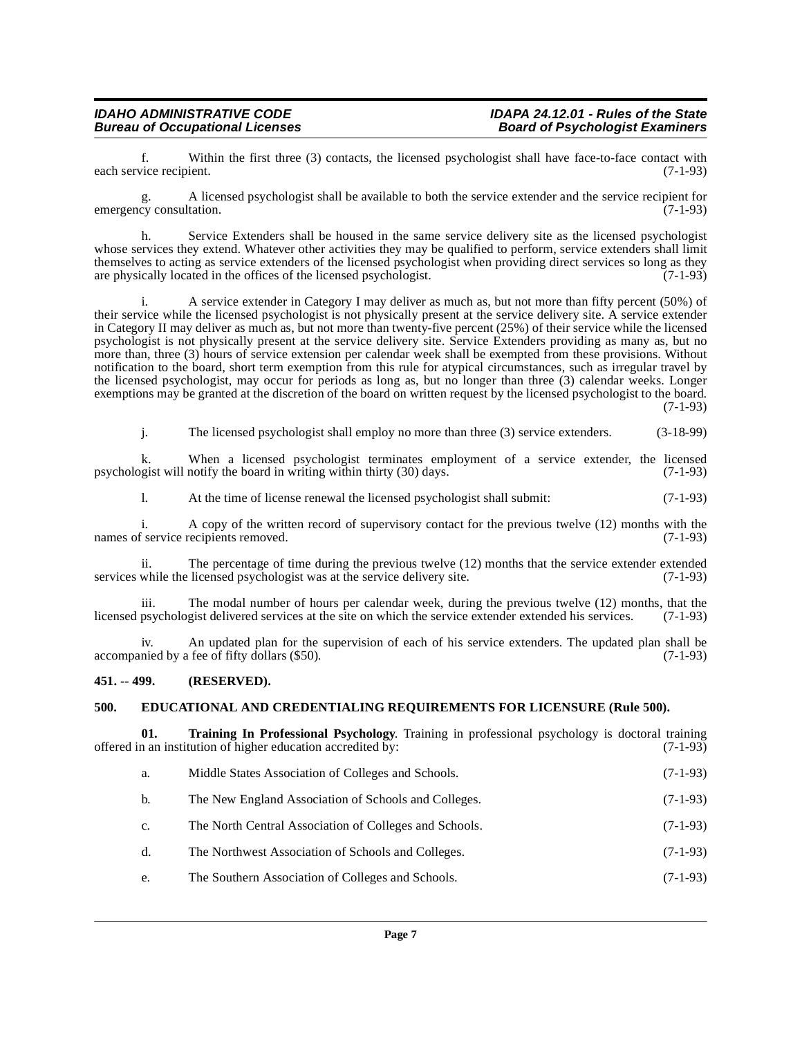f. Within the first three (3) contacts, the licensed psychologist shall have face-to-face contact with each service recipient.

g. A licensed psychologist shall be available to both the service extender and the service recipient for emergency consultation. (7-1-93)

h. Service Extenders shall be housed in the same service delivery site as the licensed psychologist whose services they extend. Whatever other activities they may be qualified to perform, service extenders shall limit themselves to acting as service extenders of the licensed psychologist when providing direct services so long as they are physically located in the offices of the licensed psychologist. (7-1-93)

A service extender in Category I may deliver as much as, but not more than fifty percent (50%) of their service while the licensed psychologist is not physically present at the service delivery site. A service extender in Category II may deliver as much as, but not more than twenty-five percent (25%) of their service while the licensed psychologist is not physically present at the service delivery site. Service Extenders providing as many as, but no more than, three (3) hours of service extension per calendar week shall be exempted from these provisions. Without notification to the board, short term exemption from this rule for atypical circumstances, such as irregular travel by the licensed psychologist, may occur for periods as long as, but no longer than three (3) calendar weeks. Longer exemptions may be granted at the discretion of the board on written request by the licensed psychologist to the board. (7-1-93)

j. The licensed psychologist shall employ no more than three (3) service extenders. (3-18-99)

k. When a licensed psychologist terminates employment of a service extender, the licensed psychologist will notify the board in writing within thirty (30) days. (7-1-93)

l. At the time of license renewal the licensed psychologist shall submit: (7-1-93)

i. A copy of the written record of supervisory contact for the previous twelve  $(12)$  months with the f service recipients removed.  $(7-1-93)$ names of service recipients removed.

ii. The percentage of time during the previous twelve  $(12)$  months that the service extender extended while the licensed psychologist was at the service delivery site.  $(7-1-93)$ services while the licensed psychologist was at the service delivery site.

iii. The modal number of hours per calendar week, during the previous twelve  $(12)$  months, that the psychologist delivered services at the site on which the service extender extended his services.  $(7-1-93)$ licensed psychologist delivered services at the site on which the service extender extended his services.

iv. An updated plan for the supervision of each of his service extenders. The updated plan shall be accompanied by a fee of fifty dollars (\$50). (7-1-93)

# <span id="page-6-0"></span>**451. -- 499. (RESERVED).**

### <span id="page-6-2"></span><span id="page-6-1"></span>**500. EDUCATIONAL AND CREDENTIALING REQUIREMENTS FOR LICENSURE (Rule 500).**

**01. Training In Professional Psychology**. Training in professional psychology is doctoral training in an institution of higher education accredited by: (7-1-93) offered in an institution of higher education accredited by:

<span id="page-6-3"></span>

|  | Middle States Association of Colleges and Schools. | $(7-1-93)$ |
|--|----------------------------------------------------|------------|
|--|----------------------------------------------------|------------|

- b. The New England Association of Schools and Colleges. (7-1-93)
- c. The North Central Association of Colleges and Schools. (7-1-93)
- d. The Northwest Association of Schools and Colleges. (7-1-93)
- e. The Southern Association of Colleges and Schools. (7-1-93)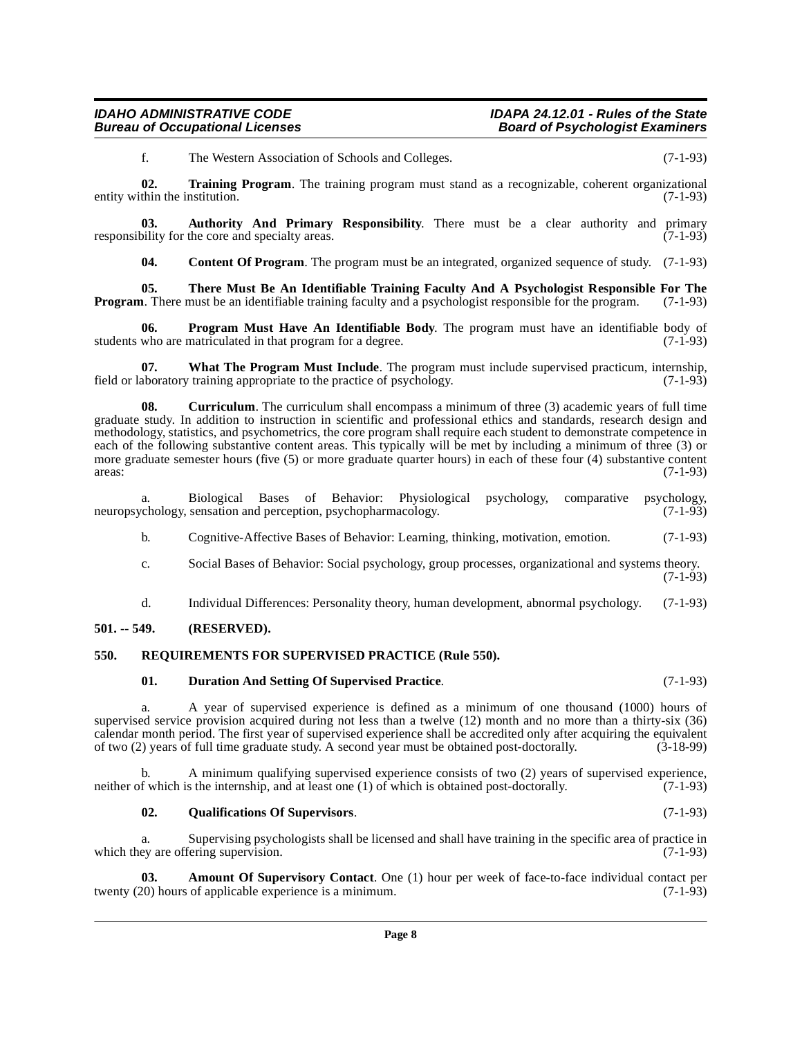### **IDAHO ADMINISTRATIVE CODE**<br>Bureau of Occupational Licenses **IDAPA 24.12.01 - Rules of the State**<br>Board of Psychologist Examiners **Bureau of Occupational Licenses**

<span id="page-7-11"></span>f. The Western Association of Schools and Colleges. (7-1-93)

**02. Training Program**. The training program must stand as a recognizable, coherent organizational entity within the institution. (7-1-93)

**03.** Authority And Primary Responsibility. There must be a clear authority and primary bility for the core and specialty areas. (7-1-93) responsibility for the core and specialty areas.

<span id="page-7-10"></span><span id="page-7-7"></span><span id="page-7-4"></span><span id="page-7-3"></span>**04.** Content Of Program. The program must be an integrated, organized sequence of study. (7-1-93)

**05. There Must Be An Identifiable Training Faculty And A Psychologist Responsible For The Program**. There must be an identifiable training faculty and a psychologist responsible for the program. (7-1-93)

**06. Program Must Have An Identifiable Body**. The program must have an identifiable body of students who are matriculated in that program for a degree. (7-1-93)

<span id="page-7-12"></span>**07.** What The Program Must Include. The program must include supervised practicum, internship, aboratory training appropriate to the practice of psychology. (7-1-93) field or laboratory training appropriate to the practice of psychology.

<span id="page-7-5"></span>**08.** Curriculum. The curriculum shall encompass a minimum of three (3) academic years of full time graduate study. In addition to instruction in scientific and professional ethics and standards, research design and methodology, statistics, and psychometrics, the core program shall require each student to demonstrate competence in each of the following substantive content areas. This typically will be met by including a minimum of three (3) or more graduate semester hours (five (5) or more graduate quarter hours) in each of these four (4) substantive content  $\alpha$  areas:  $(7-1-93)$ 

a. Biological Bases of Behavior: Physiological psychology, comparative psychology, chology, sensation and perception, psychopharmacology. (7-1-93) neuropsychology, sensation and perception, psychopharmacology.

b. Cognitive-Affective Bases of Behavior: Learning, thinking, motivation, emotion. (7-1-93)

- c. Social Bases of Behavior: Social psychology, group processes, organizational and systems theory. (7-1-93)
- d. Individual Differences: Personality theory, human development, abnormal psychology. (7-1-93)

### <span id="page-7-0"></span>**501. -- 549. (RESERVED).**

# <span id="page-7-1"></span>**550. REQUIREMENTS FOR SUPERVISED PRACTICE (Rule 550).**

### <span id="page-7-9"></span><span id="page-7-6"></span>**01. Duration And Setting Of Supervised Practice**. (7-1-93)

a. A year of supervised experience is defined as a minimum of one thousand (1000) hours of supervised service provision acquired during not less than a twelve (12) month and no more than a thirty-six (36) calendar month period. The first year of supervised experience shall be accredited only after acquiring the equivalent of two (2) years of full time graduate study. A second year must be obtained post-doctorally. (3-18-99) of two (2) years of full time graduate study. A second year must be obtained post-doctorally.

b. A minimum qualifying supervised experience consists of two (2) years of supervised experience, neither of which is the internship, and at least one (1) of which is obtained post-doctorally. (7-1-93)

### <span id="page-7-8"></span><span id="page-7-2"></span>**02. Qualifications Of Supervisors**. (7-1-93)

a. Supervising psychologists shall be licensed and shall have training in the specific area of practice in ey are offering supervision. (7-1-93) which they are offering supervision.

**Amount Of Supervisory Contact**. One (1) hour per week of face-to-face individual contact per of applicable experience is a minimum. (7-1-93) twenty  $(20)$  hours of applicable experience is a minimum.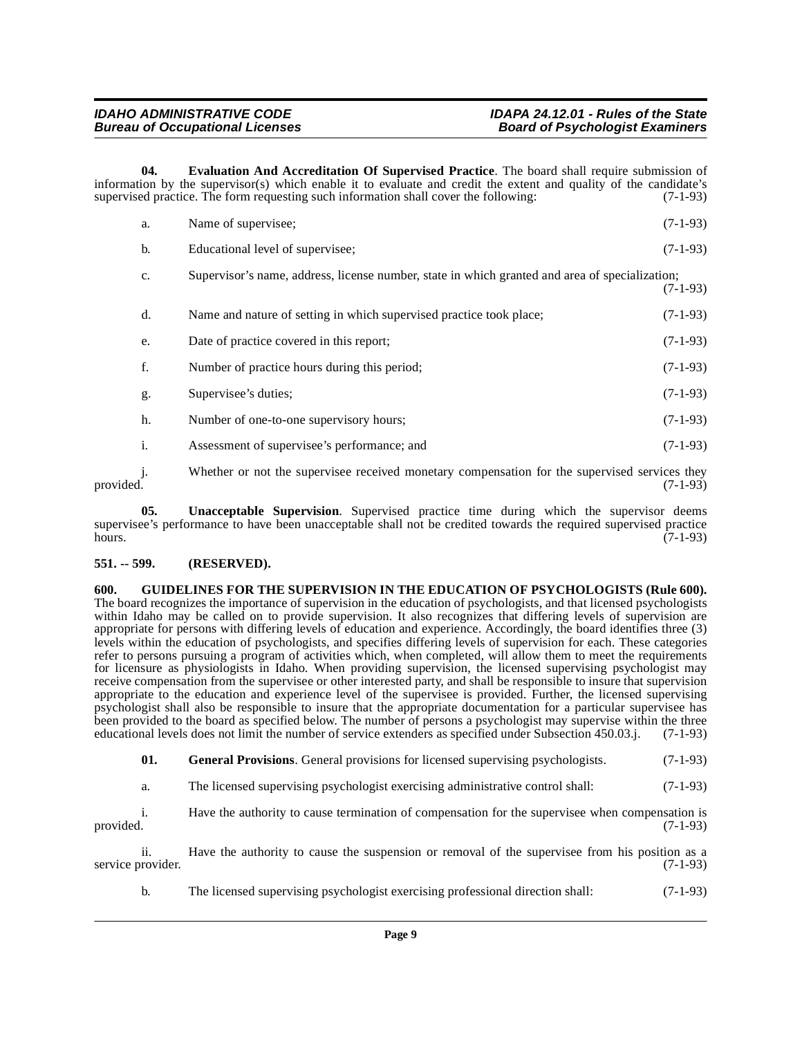**04. Evaluation And Accreditation Of Supervised Practice**. The board shall require submission of information by the supervisor(s) which enable it to evaluate and credit the extent and quality of the candidate's supervised practice. The form requesting such information shall cover the following: (7-1-93)

<span id="page-8-2"></span>

| a. | Name of supervisee;                                                                            | $(7-1-93)$ |
|----|------------------------------------------------------------------------------------------------|------------|
| b. | Educational level of supervisee;                                                               | $(7-1-93)$ |
| c. | Supervisor's name, address, license number, state in which granted and area of specialization; | $(7-1-93)$ |
| d. | Name and nature of setting in which supervised practice took place;                            | $(7-1-93)$ |
| e. | Date of practice covered in this report;                                                       | $(7-1-93)$ |
| f. | Number of practice hours during this period;                                                   | $(7-1-93)$ |
| g. | Supervisee's duties;                                                                           | $(7-1-93)$ |
| h. | Number of one-to-one supervisory hours;                                                        | $(7-1-93)$ |
| i. | Assessment of supervisee's performance; and                                                    | $(7-1-93)$ |
|    |                                                                                                |            |

j. Whether or not the supervisee received monetary compensation for the supervised services they provided. (7-1-93) provided. (7-1-93)

<span id="page-8-4"></span>**05. Unacceptable Supervision**. Supervised practice time during which the supervisor deems supervisee's performance to have been unacceptable shall not be credited towards the required supervised practice<br>(7-1-93) hours.  $(7-1-93)$ 

# <span id="page-8-0"></span>**551. -- 599. (RESERVED).**

<span id="page-8-3"></span><span id="page-8-1"></span>**600. GUIDELINES FOR THE SUPERVISION IN THE EDUCATION OF PSYCHOLOGISTS (Rule 600).** The board recognizes the importance of supervision in the education of psychologists, and that licensed psychologists within Idaho may be called on to provide supervision. It also recognizes that differing levels of supervision are appropriate for persons with differing levels of education and experience. Accordingly, the board identifies three (3) levels within the education of psychologists, and specifies differing levels of supervision for each. These categories refer to persons pursuing a program of activities which, when completed, will allow them to meet the requirements for licensure as physiologists in Idaho. When providing supervision, the licensed supervising psychologist may receive compensation from the supervisee or other interested party, and shall be responsible to insure that supervision appropriate to the education and experience level of the supervisee is provided. Further, the licensed supervising psychologist shall also be responsible to insure that the appropriate documentation for a particular supervisee has been provided to the board as specified below. The number of persons a psychologist may supervise within the three educational levels does not limit the number of service extenders as specified under Subsection 450.03.j. ( educational levels does not limit the number of service extenders as specified under Subsection 450.03.j.

**01. General Provisions**. General provisions for licensed supervising psychologists. (7-1-93)

a. The licensed supervising psychologist exercising administrative control shall: (7-1-93)

i. Have the authority to cause termination of compensation for the supervisee when compensation is provided. (7-1-93)

ii. Have the authority to cause the suspension or removal of the supervisee from his position as a rovider. (7-1-93) service provider.

b. The licensed supervising psychologist exercising professional direction shall: (7-1-93)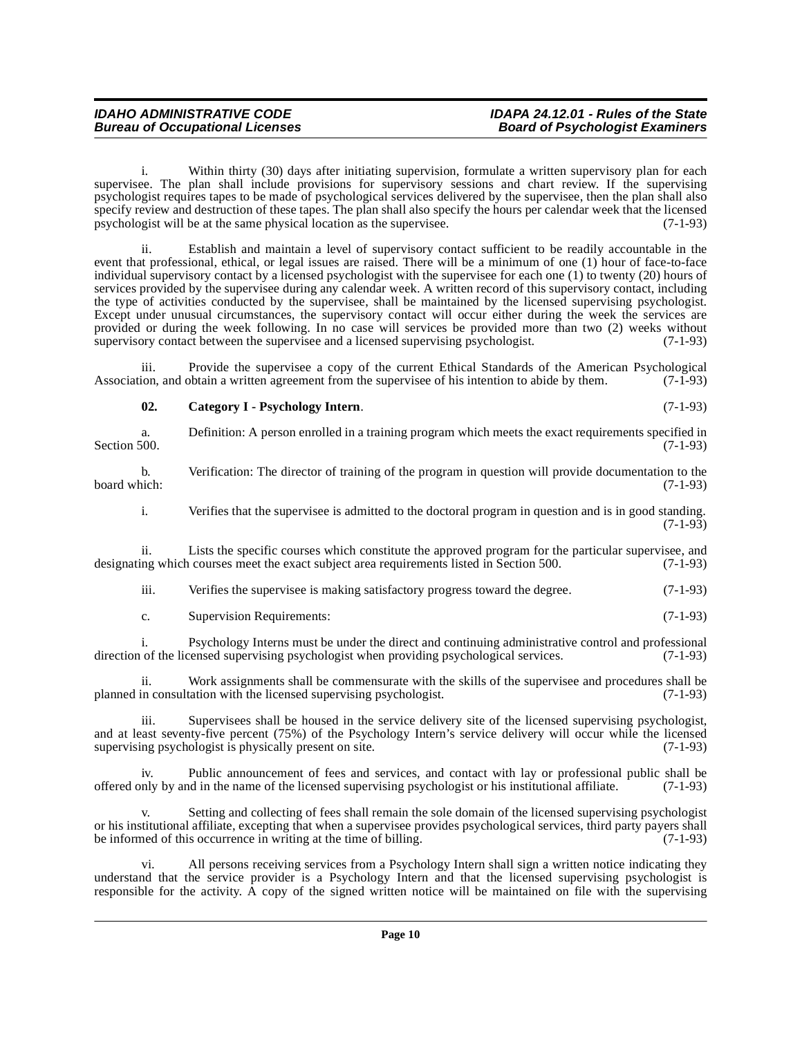| <b>IDAHO ADMINISTRATIVE CODE</b>       | IDAPA 24.12.01 - Rules of the State    |
|----------------------------------------|----------------------------------------|
| <b>Bureau of Occupational Licenses</b> | <b>Board of Psychologist Examiners</b> |

i. Within thirty (30) days after initiating supervision, formulate a written supervisory plan for each supervisee. The plan shall include provisions for supervisory sessions and chart review. If the supervising psychologist requires tapes to be made of psychological services delivered by the supervisee, then the plan shall also specify review and destruction of these tapes. The plan shall also specify the hours per calendar week that the licensed psychologist will be at the same physical location as the supervisee. (7-1-93)

ii. Establish and maintain a level of supervisory contact sufficient to be readily accountable in the event that professional, ethical, or legal issues are raised. There will be a minimum of one (1) hour of face-to-face individual supervisory contact by a licensed psychologist with the supervisee for each one (1) to twenty (20) hours of services provided by the supervisee during any calendar week. A written record of this supervisory contact, including the type of activities conducted by the supervisee, shall be maintained by the licensed supervising psychologist. Except under unusual circumstances, the supervisory contact will occur either during the week the services are provided or during the week following. In no case will services be provided more than two (2) weeks without supervisory contact between the supervisee and a licensed supervising psychologist. (7-1-93)

iii. Provide the supervisee a copy of the current Ethical Standards of the American Psychological<br>ion, and obtain a written agreement from the supervisee of his intention to abide by them. (7-1-93) Association, and obtain a written agreement from the supervisee of his intention to abide by them.

<span id="page-9-0"></span>

| 02. | Category I - Psychology Intern. | $(7-1-93)$ |
|-----|---------------------------------|------------|
|     |                                 |            |

a. Definition: A person enrolled in a training program which meets the exact requirements specified in Section 500.  $(7-1-93)$ 

b. Verification: The director of training of the program in question will provide documentation to the board which: (7-1-93) board which: (7-1-93)

i. Verifies that the supervisee is admitted to the doctoral program in question and is in good standing.  $(7-1-93)$ 

ii. Lists the specific courses which constitute the approved program for the particular supervisee, and designating which courses meet the exact subject area requirements listed in Section 500. (7-1-93)

iii. Verifies the supervisee is making satisfactory progress toward the degree. (7-1-93)

| J. | Supervision Requirements: | $(7-1-93)$ |
|----|---------------------------|------------|
|----|---------------------------|------------|

i. Psychology Interns must be under the direct and continuing administrative control and professional direction of the licensed supervising psychologist when providing psychological services. (7-1-93)

ii. Work assignments shall be commensurate with the skills of the supervisee and procedures shall be in consultation with the licensed supervising psychologist. (7-1-93) planned in consultation with the licensed supervising psychologist.

iii. Supervisees shall be housed in the service delivery site of the licensed supervising psychologist, and at least seventy-five percent (75%) of the Psychology Intern's service delivery will occur while the licensed<br>supervising psychologist is physically present on site. (7-1-93) supervising psychologist is physically present on site.

Public announcement of fees and services, and contact with lay or professional public shall be offered only by and in the name of the licensed supervising psychologist or his institutional affiliate. (7-1-93)

Setting and collecting of fees shall remain the sole domain of the licensed supervising psychologist or his institutional affiliate, excepting that when a supervisee provides psychological services, third party payers shall be informed of this occurrence in writing at the time of billing. (7-1-93)

vi. All persons receiving services from a Psychology Intern shall sign a written notice indicating they understand that the service provider is a Psychology Intern and that the licensed supervising psychologist is responsible for the activity. A copy of the signed written notice will be maintained on file with the supervising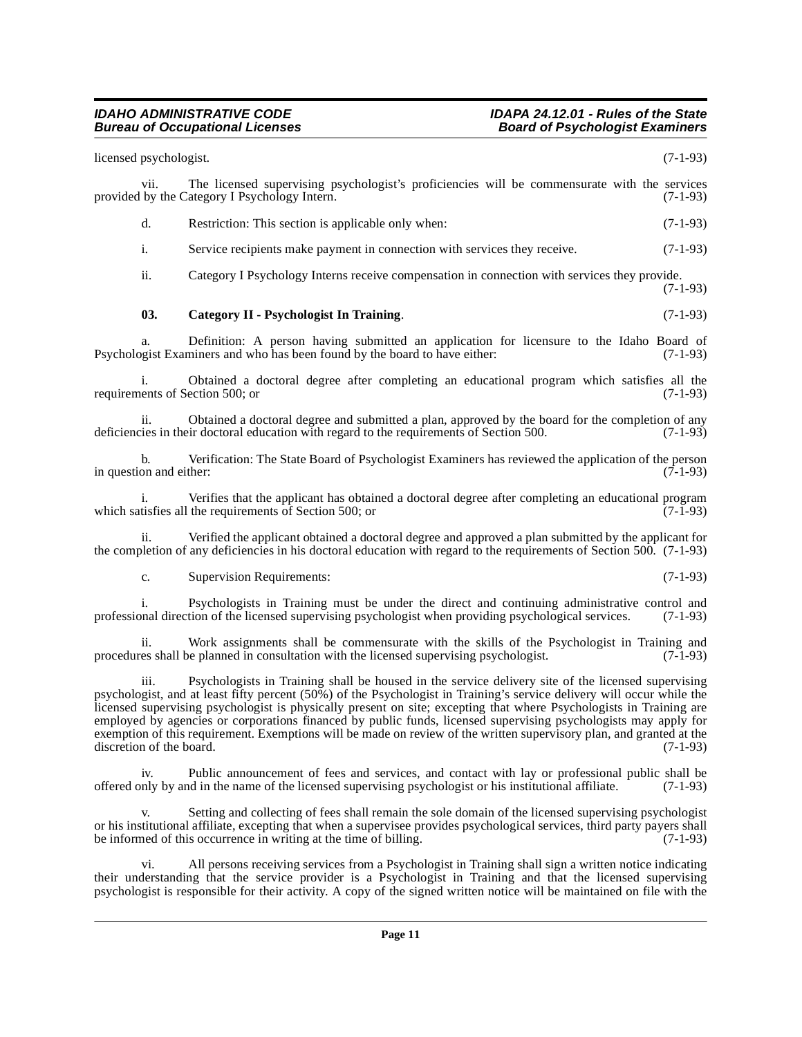<span id="page-10-0"></span>licensed psychologist. (7-1-93) vii. The licensed supervising psychologist's proficiencies will be commensurate with the services provided by the Category I Psychology Intern. (7-1-93) d. Restriction: This section is applicable only when: (7-1-93) i. Service recipients make payment in connection with services they receive. (7-1-93) ii. Category I Psychology Interns receive compensation in connection with services they provide. (7-1-93) **03. Category II - Psychologist In Training**. (7-1-93) Definition: A person having submitted an application for licensure to the Idaho Board of miners and who has been found by the board to have either: (7-1-93) Psychologist Examiners and who has been found by the board to have either: i. Obtained a doctoral degree after completing an educational program which satisfies all the requirements of Section 500; or (7-1-93) ii. Obtained a doctoral degree and submitted a plan, approved by the board for the completion of any is their doctoral education with regard to the requirements of Section 500. (7-1-93) deficiencies in their doctoral education with regard to the requirements of Section 500. b. Verification: The State Board of Psychologist Examiners has reviewed the application of the person in question and either:  $(7-1-93)$ i. Verifies that the applicant has obtained a doctoral degree after completing an educational program tisfies all the requirements of Section 500: or which satisfies all the requirements of Section 500; or ii. Verified the applicant obtained a doctoral degree and approved a plan submitted by the applicant for the completion of any deficiencies in his doctoral education with regard to the requirements of Section 500. (7-1-93) c. Supervision Requirements: (7-1-93) i. Psychologists in Training must be under the direct and continuing administrative control and by paid direction of the licensed supervising psychologist when providing psychological services. (7-1-93) professional direction of the licensed supervising psychologist when providing psychological services.

ii. Work assignments shall be commensurate with the skills of the Psychologist in Training and es shall be planned in consultation with the licensed supervising psychologist. (7-1-93) procedures shall be planned in consultation with the licensed supervising psychologist.

iii. Psychologists in Training shall be housed in the service delivery site of the licensed supervising psychologist, and at least fifty percent (50%) of the Psychologist in Training's service delivery will occur while the licensed supervising psychologist is physically present on site; excepting that where Psychologists in Training are employed by agencies or corporations financed by public funds, licensed supervising psychologists may apply for exemption of this requirement. Exemptions will be made on review of the written supervisory plan, and granted at the discretion of the board. (7-1-93) discretion of the board.

Public announcement of fees and services, and contact with lay or professional public shall be offered only by and in the name of the licensed supervising psychologist or his institutional affiliate. (7-1-93)

Setting and collecting of fees shall remain the sole domain of the licensed supervising psychologist or his institutional affiliate, excepting that when a supervisee provides psychological services, third party payers shall be informed of this occurrence in writing at the time of billing. (7-1-93)

vi. All persons receiving services from a Psychologist in Training shall sign a written notice indicating their understanding that the service provider is a Psychologist in Training and that the licensed supervising psychologist is responsible for their activity. A copy of the signed written notice will be maintained on file with the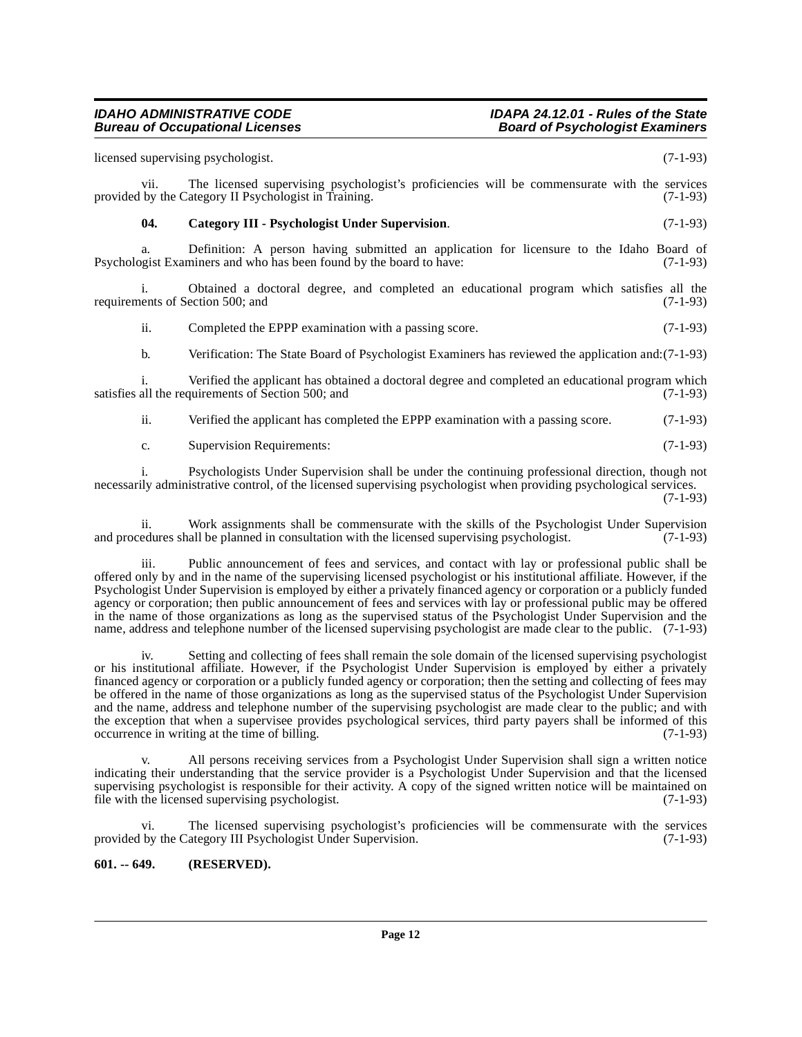licensed supervising psychologist. (7-1-93)

vii. The licensed supervising psychologist's proficiencies will be commensurate with the services provided by the Category II Psychologist in Training. (7-1-93)

## <span id="page-11-1"></span>**04. Category III - Psychologist Under Supervision**. (7-1-93)

a. Definition: A person having submitted an application for licensure to the Idaho Board of opeist Examiners and who has been found by the board to have: (7-1-93) Psychologist Examiners and who has been found by the board to have:

i. Obtained a doctoral degree, and completed an educational program which satisfies all the requirements of Section 500; and

ii. Completed the EPPP examination with a passing score. (7-1-93)

b. Verification: The State Board of Psychologist Examiners has reviewed the application and:(7-1-93)

i. Verified the applicant has obtained a doctoral degree and completed an educational program which satisfies all the requirements of Section 500; and (7-1-93)

ii. Verified the applicant has completed the EPPP examination with a passing score. (7-1-93)

c. Supervision Requirements: (7-1-93)

i. Psychologists Under Supervision shall be under the continuing professional direction, though not necessarily administrative control, of the licensed supervising psychologist when providing psychological services. (7-1-93)

ii. Work assignments shall be commensurate with the skills of the Psychologist Under Supervision and procedures shall be planned in consultation with the licensed supervising psychologist. (7-1-93)

iii. Public announcement of fees and services, and contact with lay or professional public shall be offered only by and in the name of the supervising licensed psychologist or his institutional affiliate. However, if the Psychologist Under Supervision is employed by either a privately financed agency or corporation or a publicly funded agency or corporation; then public announcement of fees and services with lay or professional public may be offered in the name of those organizations as long as the supervised status of the Psychologist Under Supervision and the name, address and telephone number of the licensed supervising psychologist are made clear to the public. (7-1-93)

Setting and collecting of fees shall remain the sole domain of the licensed supervising psychologist or his institutional affiliate. However, if the Psychologist Under Supervision is employed by either a privately financed agency or corporation or a publicly funded agency or corporation; then the setting and collecting of fees may be offered in the name of those organizations as long as the supervised status of the Psychologist Under Supervision and the name, address and telephone number of the supervising psychologist are made clear to the public; and with the exception that when a supervisee provides psychological services, third party payers shall be informed of this occurrence in writing at the time of billing. (7-1-93) occurrence in writing at the time of billing.

All persons receiving services from a Psychologist Under Supervision shall sign a written notice indicating their understanding that the service provider is a Psychologist Under Supervision and that the licensed supervising psychologist is responsible for their activity. A copy of the signed written notice will be maintained on file with the licensed supervising psychologist. (7-1-93) file with the licensed supervising psychologist.

vi. The licensed supervising psychologist's proficiencies will be commensurate with the services provided by the Category III Psychologist Under Supervision. (7-1-93)

# <span id="page-11-0"></span>**601. -- 649. (RESERVED).**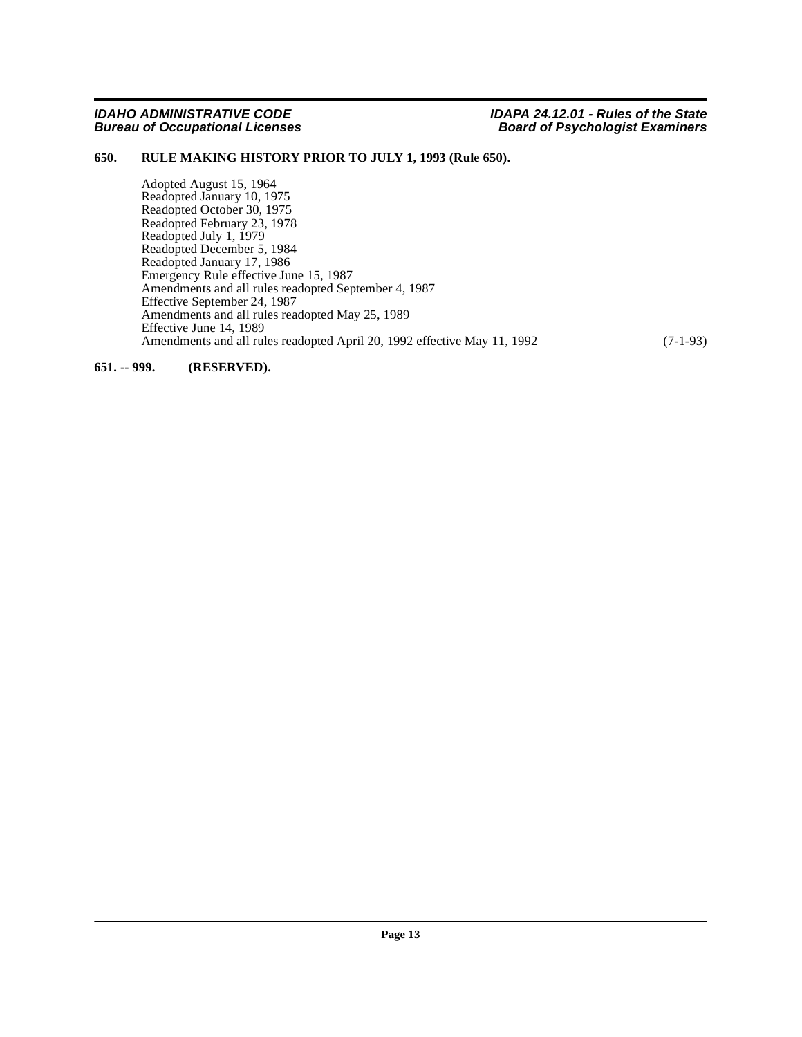## <span id="page-12-0"></span>**650. RULE MAKING HISTORY PRIOR TO JULY 1, 1993 (Rule 650).**

Adopted August 15, 1964 Readopted January 10, 1975 Readopted October 30, 1975 Readopted February 23, 1978 Readopted July 1, 1979 Readopted December 5, 1984 Readopted January 17, 1986 Emergency Rule effective June 15, 1987 Amendments and all rules readopted September 4, 1987 Effective September 24, 1987 Amendments and all rules readopted May 25, 1989 Effective June 14, 1989 Amendments and all rules readopted April 20, 1992 effective May 11, 1992 (7-1-93)

<span id="page-12-1"></span>**651. -- 999. (RESERVED).**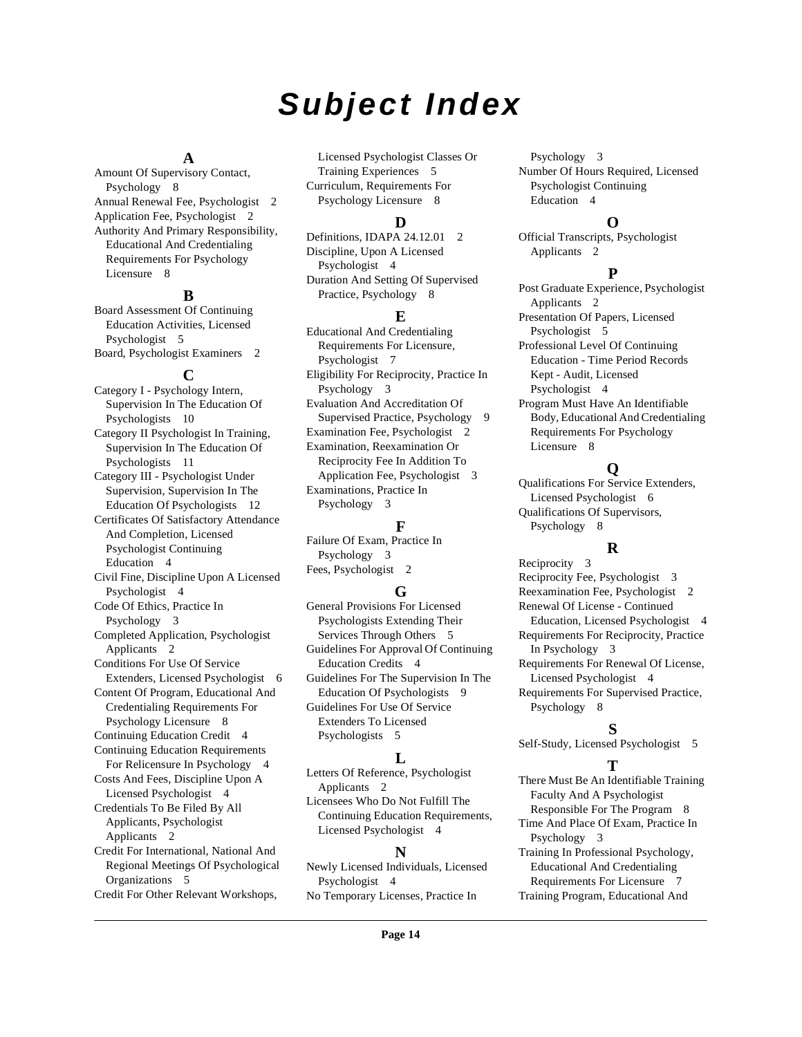# **Subject Index**

## **A**

Amount Of Supervisory Contact, Psychology [8](#page-7-2) Annual Renewal Fee, Psychologist [2](#page-1-11) Application Fee, Psychologist [2](#page-1-12) Authority And Primary Responsibility, Educational And Credentialing Requirements For Psychology Licensure [8](#page-7-3)

# **B**

Board Assessment Of Continuing Education Activities, Licensed Psychologist [5](#page-4-2) Board, Psychologist Examiners [2](#page-1-13)

### **C**

Category I - Psychology Intern, Supervision In The Education Of Psychologists [10](#page-9-0) Category II Psychologist In Training, Supervision In The Education Of Psychologists [11](#page-10-0) Category III - Psychologist Under Supervision, Supervision In The Education Of Psychologists [12](#page-11-1) Certificates Of Satisfactory Attendance And Completion, Licensed Psychologist Continuing Education [4](#page-3-6) Civil Fine, Discipline Upon A Licensed Psychologist [4](#page-3-7) Code Of Ethics, Practice In Psychology [3](#page-2-8) Completed Application, Psychologist Applicants [2](#page-1-14) Conditions For Use Of Service Extenders, Licensed Psychologist [6](#page-5-0) Content Of Program, Educational And Credentialing Requirements For Psychology Licensure [8](#page-7-4) Continuing Education Credit [4](#page-3-8) Continuing Education Requirements For Relicensure In Psychology [4](#page-3-9) Costs And Fees, Discipline Upon A Licensed Psychologist [4](#page-3-10) Credentials To Be Filed By All Applicants, Psychologist Applicants [2](#page-1-15) Credit For International, National And Regional Meetings Of Psychological Organizations [5](#page-4-3) Credit For Other Relevant Workshops,

Licensed Psychologist Classes Or Training Experiences [5](#page-4-4) Curriculum, Requirements For Psychology Licensure [8](#page-7-5)

# **D**

Definitions, IDAPA [2](#page-1-16)4.12.01 2 Discipline, Upon A Licensed Psychologist [4](#page-3-11) Duration And Setting Of Supervised Practice, Psychology [8](#page-7-6)

## **E**

Educational And Credentialing Requirements For Licensure, Psychologist [7](#page-6-2) Eligibility For Reciprocity, Practice In Psychology [3](#page-2-9) Evaluation And Accreditation Of Supervised Practice, Psychology [9](#page-8-2) Examination Fee, Psychologist [2](#page-1-17) Examination, Reexamination Or Reciprocity Fee In Addition To Application Fee, Psychologist [3](#page-2-10) Examinations, Practice In Psychology [3](#page-2-11)

# **F**

Failure Of Exam, Practice In Psychology [3](#page-2-12) Fees, Psychologist [2](#page-1-18)

# **G**

General Provisions For Licensed Psychologists Extending Their Services Through Others [5](#page-4-5) Guidelines For Approval Of Continuing Education Credits [4](#page-3-12) Guidelines For The Supervision In The Education Of Psychologists [9](#page-8-3) Guidelines For Use Of Service Extenders To Licensed Psychologists [5](#page-4-6)

# **L**

Letters Of Reference, Psychologist Applicants [2](#page-1-19) Licensees Who Do Not Fulfill The

Continuing Education Requirements, Licensed Psychologist [4](#page-3-13)

### **N**

Newly Licensed Individuals, Licensed Psychologist [4](#page-3-14) No Temporary Licenses, Practice In

Psychology [3](#page-2-13) Number Of Hours Required, Licensed Psychologist Continuing Education [4](#page-3-15)

# **O**

Official Transcripts, Psychologist Applicants [2](#page-1-20)

### **P**

Post Graduate Experience, Psychologist Applicants [2](#page-1-21) Presentation Of Papers, Licensed Psychologist [5](#page-4-7) Professional Level Of Continuing Education - Time Period Records Kept - Audit, Licensed Psychologist [4](#page-3-16) Program Must Have An Identifiable Body, Educational And Credentialing

Requirements For Psychology Licensure [8](#page-7-7)

# **Q**

Qualifications For Service Extenders, Licensed Psychologist [6](#page-5-1) Qualifications Of Supervisors, Psychology [8](#page-7-8)

# **R**

Reciprocity [3](#page-2-14) Reciprocity Fee, Psychologist [3](#page-2-15) Reexamination Fee, Psychologist [2](#page-1-22) Renewal Of License - Continued Education, Licensed Psychologist [4](#page-3-17) Requirements For Reciprocity, Practice In Psychology [3](#page-2-16) Requirements For Renewal Of License, Licensed Psychologist [4](#page-3-18) Requirements For Supervised Practice, Psychology [8](#page-7-9)

# **S**

Self-Study, Licensed Psychologist [5](#page-4-8)

# **T**

There Must Be An Identifiable Training Faculty And A Psychologist Responsible For The Program [8](#page-7-10)

Time And Place Of Exam, Practice In Psychology [3](#page-2-17) Training In Professional Psychology,

Educational And Credentialing Requirements For Licensure [7](#page-6-3) Training Program, Educational And